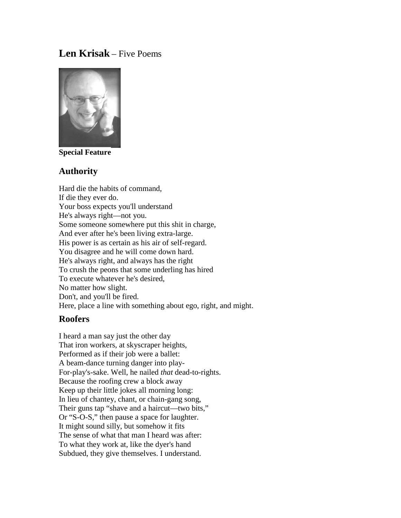# **Len Krisak** – Five Poems



**Special Feature**

### **Authority**

Hard die the habits of command, If die they ever do. Your boss expects you'll understand He's always right—not you. Some someone somewhere put this shit in charge, And ever after he's been living extra-large. His power is as certain as his air of self-regard. You disagree and he will come down hard. He's always right, and always has the right To crush the peons that some underling has hired To execute whatever he's desired, No matter how slight. Don't, and you'll be fired. Here, place a line with something about ego, right, and might.

## **Roofers**

I heard a man say just the other day That iron workers, at skyscraper heights, Performed as if their job were a ballet: A beam-dance turning danger into play-For-play's-sake. Well, he nailed *that* dead-to-rights. Because the roofing crew a block away Keep up their little jokes all morning long: In lieu of chantey, chant, or chain-gang song, Their guns tap "shave and a haircut—two bits," Or "S-O-S," then pause a space for laughter. It might sound silly, but somehow it fits The sense of what that man I heard was after: To what they work at, like the dyer's hand Subdued, they give themselves. I understand.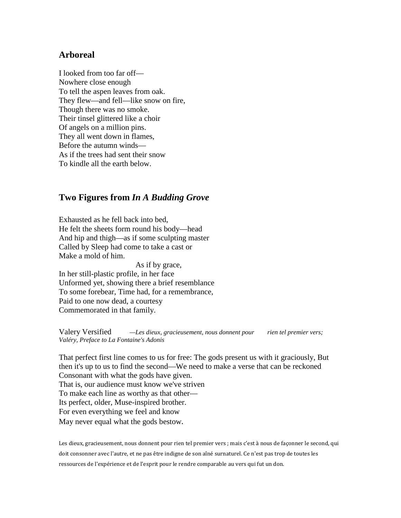### **Arboreal**

I looked from too far off— Nowhere close enough To tell the aspen leaves from oak. They flew—and fell—like snow on fire, Though there was no smoke. Their tinsel glittered like a choir Of angels on a million pins. They all went down in flames, Before the autumn winds— As if the trees had sent their snow To kindle all the earth below.

### **Two Figures from** *In A Budding Grove*

Exhausted as he fell back into bed, He felt the sheets form round his body—head And hip and thigh—as if some sculpting master Called by Sleep had come to take a cast or Make a mold of him.

 As if by grace, In her still-plastic profile, in her face Unformed yet, showing there a brief resemblance To some forebear, Time had, for a remembrance, Paid to one now dead, a courtesy Commemorated in that family.

Valery Versified *—Les dieux, gracieusement, nous donnent pour rien tel premier vers; Valéry, Preface to La Fontaine's Adonis*

That perfect first line comes to us for free: The gods present us with it graciously, But then it's up to us to find the second—We need to make a verse that can be reckoned Consonant with what the gods have given. That is, our audience must know we've striven To make each line as worthy as that other— Its perfect, older, Muse-inspired brother. For even everything we feel and know May never equal what the gods bestow.

Les dieux, gracieusement, nous donnent pour rien tel premier vers ; mais c'est à nous de façonner le second, qui doit consonner avec l'autre, et ne pas être indigne de son aîné surnaturel. Ce n'est pas trop de toutes les ressources de l'expérience et de l'esprit pour le rendre comparable au vers qui fut un don.